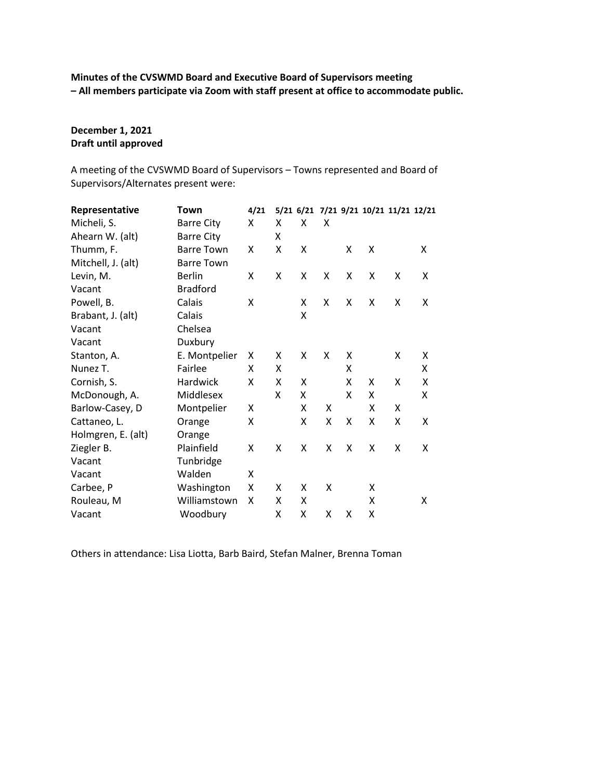**Minutes of the CVSWMD Board and Executive Board of Supervisors meeting – All members participate via Zoom with staff present at office to accommodate public.**

# **December 1, 2021 Draft until approved**

A meeting of the CVSWMD Board of Supervisors – Towns represented and Board of Supervisors/Alternates present were:

| Representative     | Town              | 4/21 |   |   |   |   |   | 5/21 6/21 7/21 9/21 10/21 11/21 12/21 |   |
|--------------------|-------------------|------|---|---|---|---|---|---------------------------------------|---|
| Micheli, S.        | <b>Barre City</b> | X    | X | X | X |   |   |                                       |   |
| Ahearn W. (alt)    | <b>Barre City</b> |      | X |   |   |   |   |                                       |   |
| Thumm, F.          | <b>Barre Town</b> | X    | X | X |   | X | X |                                       | X |
| Mitchell, J. (alt) | <b>Barre Town</b> |      |   |   |   |   |   |                                       |   |
| Levin, M.          | <b>Berlin</b>     | X    | X | X | X | X | X | X                                     | X |
| Vacant             | <b>Bradford</b>   |      |   |   |   |   |   |                                       |   |
| Powell, B.         | Calais            | X    |   | X | X | X | X | X                                     | X |
| Brabant, J. (alt)  | Calais            |      |   | X |   |   |   |                                       |   |
| Vacant             | Chelsea           |      |   |   |   |   |   |                                       |   |
| Vacant             | Duxbury           |      |   |   |   |   |   |                                       |   |
| Stanton, A.        | E. Montpelier     | X    | X | X | X | X |   | X                                     | X |
| Nunez T.           | Fairlee           | X    | X |   |   | X |   |                                       | X |
| Cornish, S.        | Hardwick          | X    | X | X |   | X | X | X                                     | X |
| McDonough, A.      | Middlesex         |      | X | X |   | X | X |                                       | X |
| Barlow-Casey, D    | Montpelier        | X    |   | X | X |   | X | X                                     |   |
| Cattaneo, L.       | Orange            | Χ    |   | X | X | X | X | X                                     | X |
| Holmgren, E. (alt) | Orange            |      |   |   |   |   |   |                                       |   |
| Ziegler B.         | Plainfield        | X    | X | X | X | X | X | X                                     | X |
| Vacant             | Tunbridge         |      |   |   |   |   |   |                                       |   |
| Vacant             | Walden            | X    |   |   |   |   |   |                                       |   |
| Carbee, P          | Washington        | X    | X | X | X |   | X |                                       |   |
| Rouleau, M         | Williamstown      | X    | X | X |   |   | X |                                       | X |
| Vacant             | Woodbury          |      | X | X | X | X | X |                                       |   |

Others in attendance: Lisa Liotta, Barb Baird, Stefan Malner, Brenna Toman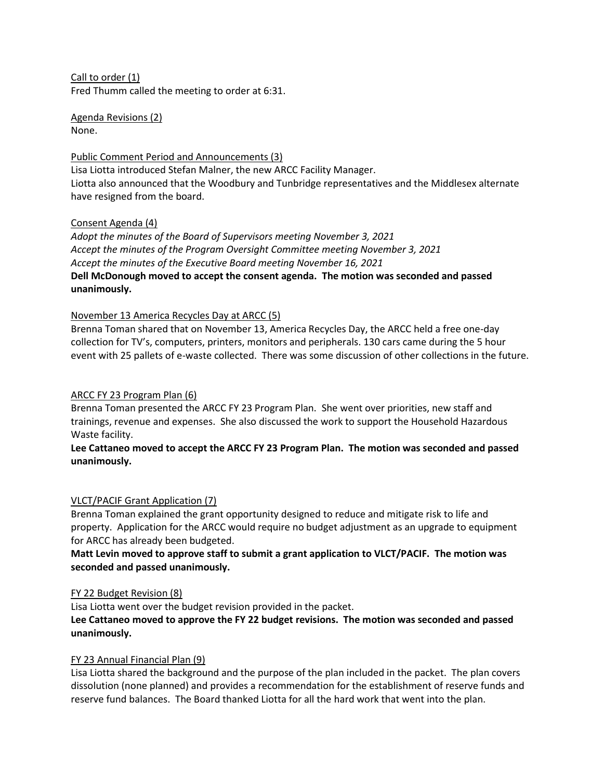Call to order (1) Fred Thumm called the meeting to order at 6:31.

Agenda Revisions (2) None.

Public Comment Period and Announcements (3) Lisa Liotta introduced Stefan Malner, the new ARCC Facility Manager. Liotta also announced that the Woodbury and Tunbridge representatives and the Middlesex alternate have resigned from the board.

### Consent Agenda (4)

*Adopt the minutes of the Board of Supervisors meeting November 3, 2021 Accept the minutes of the Program Oversight Committee meeting November 3, 2021 Accept the minutes of the Executive Board meeting November 16, 2021* **Dell McDonough moved to accept the consent agenda. The motion was seconded and passed unanimously.**

### November 13 America Recycles Day at ARCC (5)

Brenna Toman shared that on November 13, America Recycles Day, the ARCC held a free one-day collection for TV's, computers, printers, monitors and peripherals. 130 cars came during the 5 hour event with 25 pallets of e-waste collected. There was some discussion of other collections in the future.

### ARCC FY 23 Program Plan (6)

Brenna Toman presented the ARCC FY 23 Program Plan. She went over priorities, new staff and trainings, revenue and expenses. She also discussed the work to support the Household Hazardous Waste facility.

# **Lee Cattaneo moved to accept the ARCC FY 23 Program Plan. The motion was seconded and passed unanimously.**

# VLCT/PACIF Grant Application (7)

Brenna Toman explained the grant opportunity designed to reduce and mitigate risk to life and property. Application for the ARCC would require no budget adjustment as an upgrade to equipment for ARCC has already been budgeted.

# **Matt Levin moved to approve staff to submit a grant application to VLCT/PACIF. The motion was seconded and passed unanimously.**

#### FY 22 Budget Revision (8)

Lisa Liotta went over the budget revision provided in the packet.

# **Lee Cattaneo moved to approve the FY 22 budget revisions. The motion was seconded and passed unanimously.**

# FY 23 Annual Financial Plan (9)

Lisa Liotta shared the background and the purpose of the plan included in the packet. The plan covers dissolution (none planned) and provides a recommendation for the establishment of reserve funds and reserve fund balances. The Board thanked Liotta for all the hard work that went into the plan.